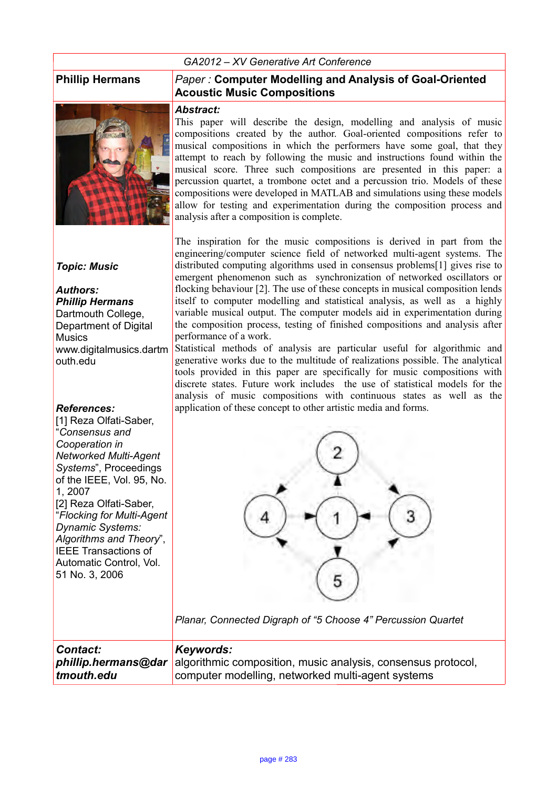#### *GA2012 – XV Generative Art Conference*



#### *Topic: Music*

*Authors: Phillip Hermans* Dartmouth College, Department of Digital **Musics** www.digitalmusics.dartm outh.edu

#### *References:*

[1] Reza Olfati-Saber, "*Consensus and Cooperation in Networked Multi-Agent Systems*", Proceedings of the IEEE, Vol. 95, No. 1, 2007 [2] Reza Olfati-Saber, "*Flocking for Multi-Agent Dynamic Systems: Algorithms and Theory*", IEEE Transactions of Automatic Control, Vol. 51 No. 3, 2006

#### **Phillip Hermans** *Paper :* **Computer Modelling and Analysis of Goal-Oriented Acoustic Music Compositions**

#### *Abstract:*

This paper will describe the design, modelling and analysis of music compositions created by the author. Goal-oriented compositions refer to musical compositions in which the performers have some goal, that they attempt to reach by following the music and instructions found within the musical score. Three such compositions are presented in this paper: a percussion quartet, a trombone octet and a percussion trio. Models of these compositions were developed in MATLAB and simulations using these models allow for testing and experimentation during the composition process and analysis after a composition is complete.

The inspiration for the music compositions is derived in part from the engineering/computer science field of networked multi-agent systems. The distributed computing algorithms used in consensus problems[1] gives rise to emergent phenomenon such as synchronization of networked oscillators or flocking behaviour [2]. The use of these concepts in musical composition lends itself to computer modelling and statistical analysis, as well as a highly variable musical output. The computer models aid in experimentation during the composition process, testing of finished compositions and analysis after performance of a work.

Statistical methods of analysis are particular useful for algorithmic and generative works due to the multitude of realizations possible. The analytical tools provided in this paper are specifically for music compositions with discrete states. Future work includes the use of statistical models for the analysis of music compositions with continuous states as well as the application of these concept to other artistic media and forms.



*Planar, Connected Digraph of "5 Choose 4" Percussion Quartet*

| Contact:   | Keywords:                                                                               |
|------------|-----------------------------------------------------------------------------------------|
|            | <i>phillip.hermans@dar</i> algorithmic composition, music analysis, consensus protocol, |
| tmouth.edu | computer modelling, networked multi-agent systems                                       |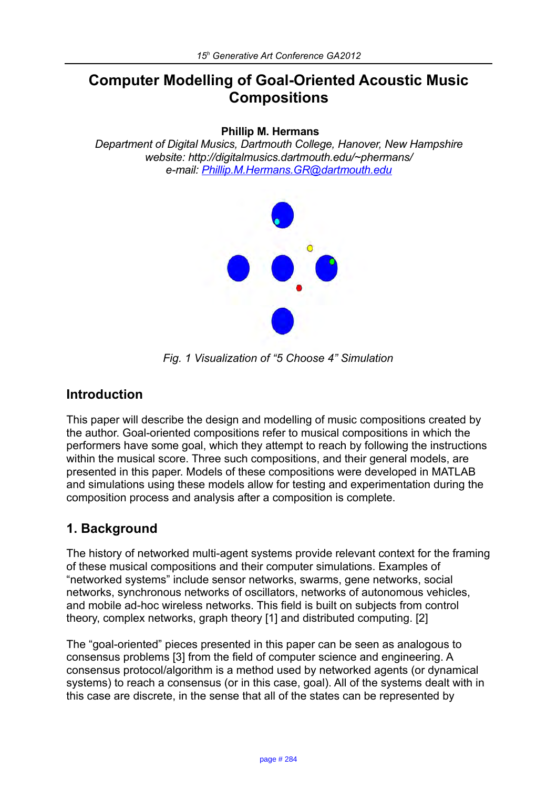# **Computer Modelling of Goal-Oriented Acoustic Music Compositions**

#### **Phillip M. Hermans**

*Department of Digital Musics, Dartmouth College, Hanover, New Hampshire website: http://digitalmusics.dartmouth.edu/~phermans/ e-mail: [Phillip.M.Hermans.GR@dartmouth.edu](mailto:Phillip.M.Hermans.GR@dartmouth.edu)* 



*Fig. 1 Visualization of "5 Choose 4" Simulation*

## **Introduction**

This paper will describe the design and modelling of music compositions created by the author. Goal-oriented compositions refer to musical compositions in which the performers have some goal, which they attempt to reach by following the instructions within the musical score. Three such compositions, and their general models, are presented in this paper. Models of these compositions were developed in MATLAB and simulations using these models allow for testing and experimentation during the composition process and analysis after a composition is complete.

# **1. Background**

The history of networked multi-agent systems provide relevant context for the framing of these musical compositions and their computer simulations. Examples of "networked systems" include sensor networks, swarms, gene networks, social networks, synchronous networks of oscillators, networks of autonomous vehicles, and mobile ad-hoc wireless networks. This field is built on subjects from control theory, complex networks, graph theory [1] and distributed computing. [2]

The "goal-oriented" pieces presented in this paper can be seen as analogous to consensus problems [3] from the field of computer science and engineering. A consensus protocol/algorithm is a method used by networked agents (or dynamical systems) to reach a consensus (or in this case, goal). All of the systems dealt with in this case are discrete, in the sense that all of the states can be represented by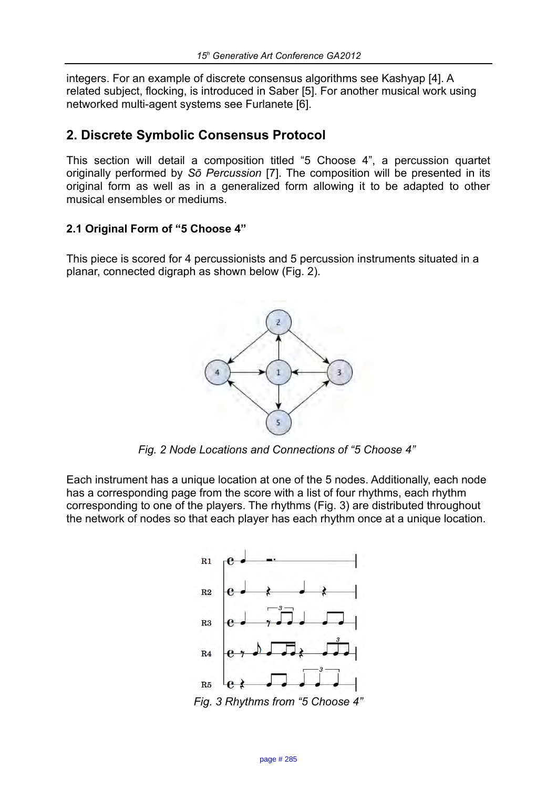integers. For an example of discrete consensus algorithms see Kashyap [4]. A related subject, flocking, is introduced in Saber [5]. For another musical work using networked multi-agent systems see Furlanete [6].

## **2. Discrete Symbolic Consensus Protocol**

This section will detail a composition titled "5 Choose 4", a percussion quartet originally performed by *So Percussion* [7]. The composition will be presented in its original form as well as in a generalized form allowing it to be adapted to other musical ensembles or mediums.

## **2.1 Original Form of "5 Choose 4"**

This piece is scored for 4 percussionists and 5 percussion instruments situated in a planar, connected digraph as shown below (Fig. 2).



*Fig. 2 Node Locations and Connections of "5 Choose 4"* 

Each instrument has a unique location at one of the 5 nodes. Additionally, each node has a corresponding page from the score with a list of four rhythms, each rhythm corresponding to one of the players. The rhythms (Fig. 3) are distributed throughout the network of nodes so that each player has each rhythm once at a unique location.

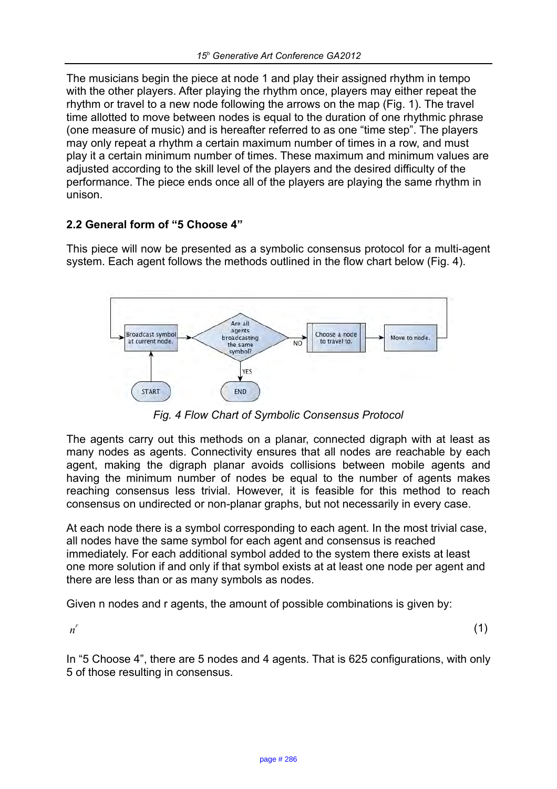The musicians begin the piece at node 1 and play their assigned rhythm in tempo with the other players. After playing the rhythm once, players may either repeat the rhythm or travel to a new node following the arrows on the map (Fig. 1). The travel time allotted to move between nodes is equal to the duration of one rhythmic phrase (one measure of music) and is hereafter referred to as one "time step". The players may only repeat a rhythm a certain maximum number of times in a row, and must play it a certain minimum number of times. These maximum and minimum values are adjusted according to the skill level of the players and the desired difficulty of the performance. The piece ends once all of the players are playing the same rhythm in unison.

### **2.2 General form of "5 Choose 4"**

This piece will now be presented as a symbolic consensus protocol for a multi-agent system. Each agent follows the methods outlined in the flow chart below (Fig. 4).



*Fig. 4 Flow Chart of Symbolic Consensus Protocol*

The agents carry out this methods on a planar, connected digraph with at least as many nodes as agents. Connectivity ensures that all nodes are reachable by each agent, making the digraph planar avoids collisions between mobile agents and having the minimum number of nodes be equal to the number of agents makes reaching consensus less trivial. However, it is feasible for this method to reach consensus on undirected or non-planar graphs, but not necessarily in every case.

At each node there is a symbol corresponding to each agent. In the most trivial case, all nodes have the same symbol for each agent and consensus is reached immediately. For each additional symbol added to the system there exists at least one more solution if and only if that symbol exists at at least one node per agent and there are less than or as many symbols as nodes.

Given n nodes and r agents, the amount of possible combinations is given by:

*n r*

(1)

In "5 Choose 4", there are 5 nodes and 4 agents. That is 625 configurations, with only 5 of those resulting in consensus.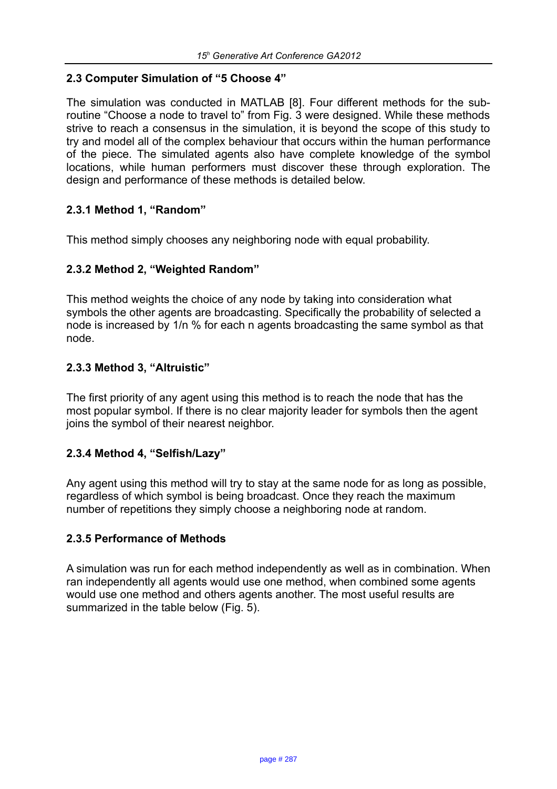#### **2.3 Computer Simulation of "5 Choose 4"**

The simulation was conducted in MATLAB [8]. Four different methods for the subroutine "Choose a node to travel to" from Fig. 3 were designed. While these methods strive to reach a consensus in the simulation, it is beyond the scope of this study to try and model all of the complex behaviour that occurs within the human performance of the piece. The simulated agents also have complete knowledge of the symbol locations, while human performers must discover these through exploration. The design and performance of these methods is detailed below.

### **2.3.1 Method 1, "Random"**

This method simply chooses any neighboring node with equal probability.

### **2.3.2 Method 2, "Weighted Random"**

This method weights the choice of any node by taking into consideration what symbols the other agents are broadcasting. Specifically the probability of selected a node is increased by 1/n % for each n agents broadcasting the same symbol as that node.

### **2.3.3 Method 3, "Altruistic"**

The first priority of any agent using this method is to reach the node that has the most popular symbol. If there is no clear majority leader for symbols then the agent joins the symbol of their nearest neighbor.

#### **2.3.4 Method 4, "Selfish/Lazy"**

Any agent using this method will try to stay at the same node for as long as possible, regardless of which symbol is being broadcast. Once they reach the maximum number of repetitions they simply choose a neighboring node at random.

#### **2.3.5 Performance of Methods**

A simulation was run for each method independently as well as in combination. When ran independently all agents would use one method, when combined some agents would use one method and others agents another. The most useful results are summarized in the table below (Fig. 5).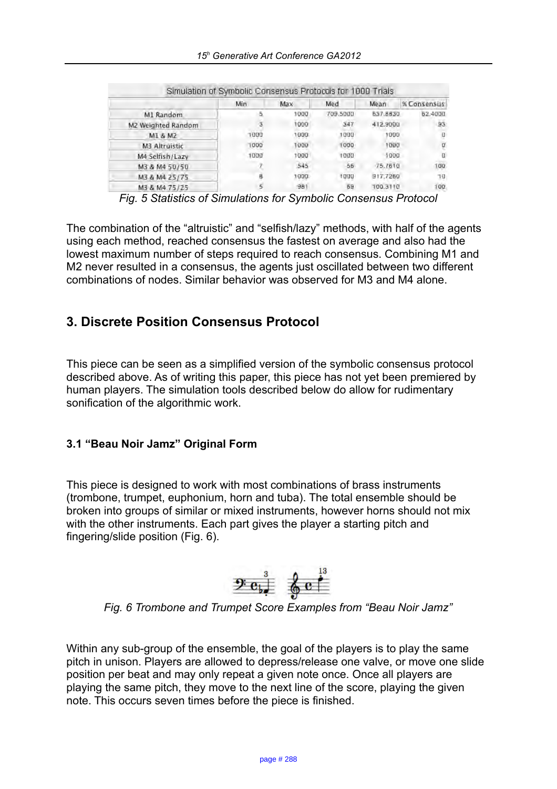|                    | Min  | Max  | Med      | Mean     | % Consensus |
|--------------------|------|------|----------|----------|-------------|
| M1 Random          |      | 1000 | 709,5000 | 637.8830 | 52,4000     |
| M2 Weighted Random |      | 1000 | 547      | 412,9000 | 93          |
| MI & M2            | 1000 | 1000 | 1000     | 1000     | Ð           |
| M3 Altruistic      | 1000 | 1000 | 1000     | 1000     | σ           |
| M4 Selfish/Lazy    | 1000 | 1000 | 1000     | 1000     | ū           |
| M3 & M4 50/50      |      | 545  | 56       | 75,7610  | 100         |
| M3 & M4 25/75      |      | 1000 | 1000     | 917,7260 | 70          |
| M3 & M4 75/25      |      | 981  | 69       | 100.3110 | 100         |

*Fig. 5 Statistics of Simulations for Symbolic Consensus Protocol*

The combination of the "altruistic" and "selfish/lazy" methods, with half of the agents using each method, reached consensus the fastest on average and also had the lowest maximum number of steps required to reach consensus. Combining M1 and M2 never resulted in a consensus, the agents just oscillated between two different combinations of nodes. Similar behavior was observed for M3 and M4 alone.

# **3. Discrete Position Consensus Protocol**

This piece can be seen as a simplified version of the symbolic consensus protocol described above. As of writing this paper, this piece has not yet been premiered by human players. The simulation tools described below do allow for rudimentary sonification of the algorithmic work.

## **3.1 "Beau Noir Jamz" Original Form**

This piece is designed to work with most combinations of brass instruments (trombone, trumpet, euphonium, horn and tuba). The total ensemble should be broken into groups of similar or mixed instruments, however horns should not mix with the other instruments. Each part gives the player a starting pitch and fingering/slide position (Fig. 6).



*Fig. 6 Trombone and Trumpet Score Examples from "Beau Noir Jamz"*

Within any sub-group of the ensemble, the goal of the players is to play the same pitch in unison. Players are allowed to depress/release one valve, or move one slide position per beat and may only repeat a given note once. Once all players are playing the same pitch, they move to the next line of the score, playing the given note. This occurs seven times before the piece is finished.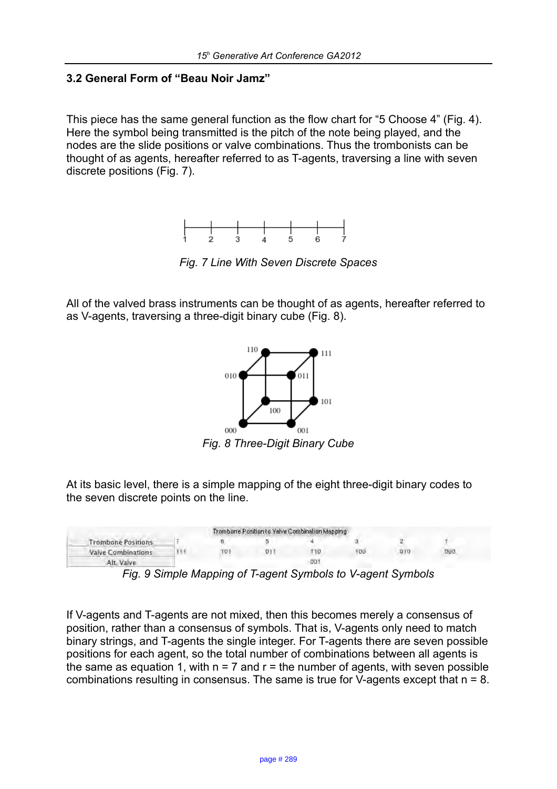### **3.2 General Form of "Beau Noir Jamz"**

This piece has the same general function as the flow chart for "5 Choose 4" (Fig. 4). Here the symbol being transmitted is the pitch of the note being played, and the nodes are the slide positions or valve combinations. Thus the trombonists can be thought of as agents, hereafter referred to as T-agents, traversing a line with seven discrete positions (Fig. 7).



*Fig. 7 Line With Seven Discrete Spaces*

All of the valved brass instruments can be thought of as agents, hereafter referred to as V-agents, traversing a three-digit binary cube (Fig. 8).



*Fig. 8 Three-Digit Binary Cube*

At its basic level, there is a simple mapping of the eight three-digit binary codes to the seven discrete points on the line.

|                           |     | Trombone Position to Valve Combination Mapping |     |     |            |
|---------------------------|-----|------------------------------------------------|-----|-----|------------|
| <b>Trombone Positions</b> |     |                                                |     |     |            |
| <b>Valve Combinations</b> | 101 | 10                                             | 100 | סום | <b>UQU</b> |
| Alt. Valve                |     | 00                                             |     |     |            |

*Fig. 9 Simple Mapping of T-agent Symbols to V-agent Symbols*

If V-agents and T-agents are not mixed, then this becomes merely a consensus of position, rather than a consensus of symbols. That is, V-agents only need to match binary strings, and T-agents the single integer. For T-agents there are seven possible positions for each agent, so the total number of combinations between all agents is the same as equation 1, with  $n = 7$  and  $r =$  the number of agents, with seven possible combinations resulting in consensus. The same is true for V-agents except that n = 8.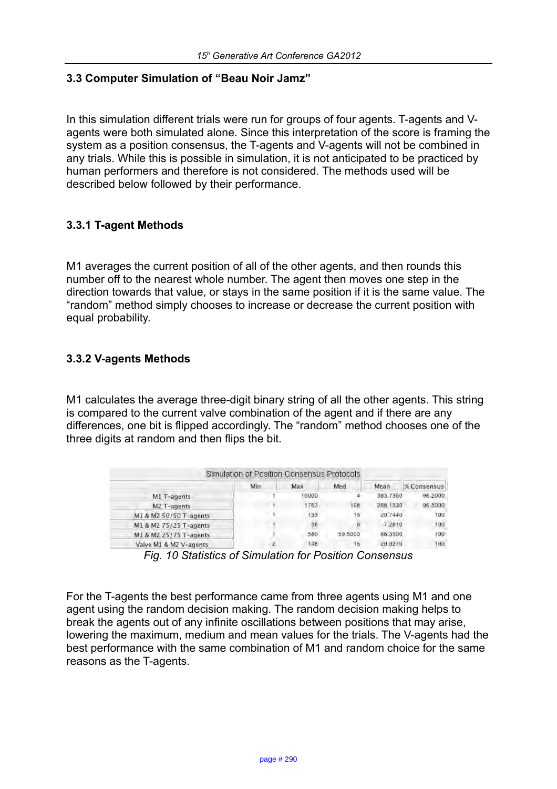### **3.3 Computer Simulation of "Beau Noir Jamz"**

In this simulation different trials were run for groups of four agents. T-agents and Vagents were both simulated alone. Since this interpretation of the score is framing the system as a position consensus, the T-agents and V-agents will not be combined in any trials. While this is possible in simulation, it is not anticipated to be practiced by human performers and therefore is not considered. The methods used will be described below followed by their performance.

### **3.3.1 T-agent Methods**

M1 averages the current position of all of the other agents, and then rounds this number off to the nearest whole number. The agent then moves one step in the direction towards that value, or stays in the same position if it is the same value. The "random" method simply chooses to increase or decrease the current position with equal probability.

#### **3.3.2 V-agents Methods**

M1 calculates the average three-digit binary string of all the other agents. This string is compared to the current valve combination of the agent and if there are any differences, one bit is flipped accordingly. The "random" method chooses one of the three digits at random and then flips the bit.

|                        | Simulation of Position Consensus Protocols |       |                 |          |                          |
|------------------------|--------------------------------------------|-------|-----------------|----------|--------------------------|
|                        | Min                                        | Max   | Med             | Mean     | <b><i>%Consensus</i></b> |
| M1 T-agents            |                                            | 10000 |                 | 385,7360 | 96,2000                  |
| M2 T-agents            |                                            | 1763  | 196             | 286,1330 | 96,5000                  |
| M1 & M2 50/50 T-agents |                                            | 138   | 15 <sub>1</sub> | 20,7440  | 100                      |
| M1 & M2 75/25 T-agents |                                            | 36    | ñ               | 7,2810   | 100                      |
| M1 & M2 25/75 T-agents |                                            | 580   | 59,5000         | 56.3900  | 100                      |
| Valve M1 & M2 V-agents | г                                          | 148   | 五               | 20,9270  | 100                      |

*Fig. 10 Statistics of Simulation for Position Consensus*

For the T-agents the best performance came from three agents using M1 and one agent using the random decision making. The random decision making helps to break the agents out of any infinite oscillations between positions that may arise, lowering the maximum, medium and mean values for the trials. The V-agents had the best performance with the same combination of M1 and random choice for the same reasons as the T-agents.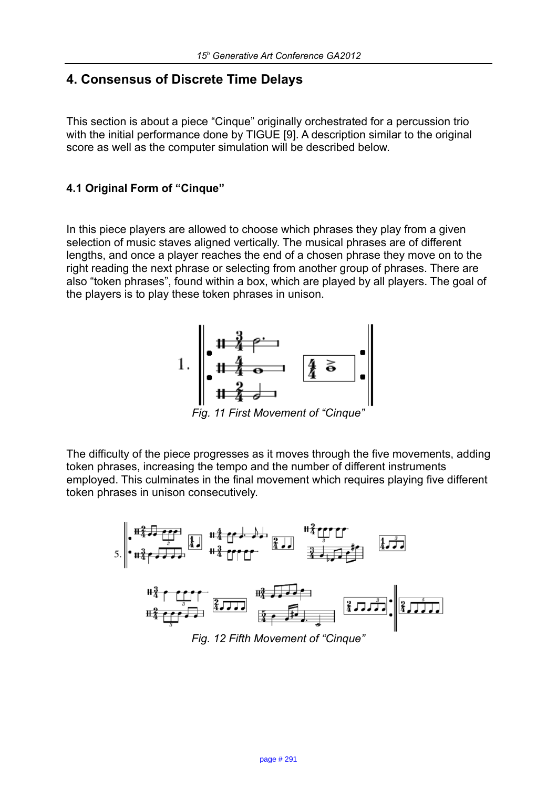## **4. Consensus of Discrete Time Delays**

This section is about a piece "Cinque" originally orchestrated for a percussion trio with the initial performance done by TIGUE [9]. A description similar to the original score as well as the computer simulation will be described below.

#### **4.1 Original Form of "Cinque"**

In this piece players are allowed to choose which phrases they play from a given selection of music staves aligned vertically. The musical phrases are of different lengths, and once a player reaches the end of a chosen phrase they move on to the right reading the next phrase or selecting from another group of phrases. There are also "token phrases", found within a box, which are played by all players. The goal of the players is to play these token phrases in unison.



*Fig. 11 First Movement of "Cinque"*

The difficulty of the piece progresses as it moves through the five movements, adding token phrases, increasing the tempo and the number of different instruments employed. This culminates in the final movement which requires playing five different token phrases in unison consecutively.

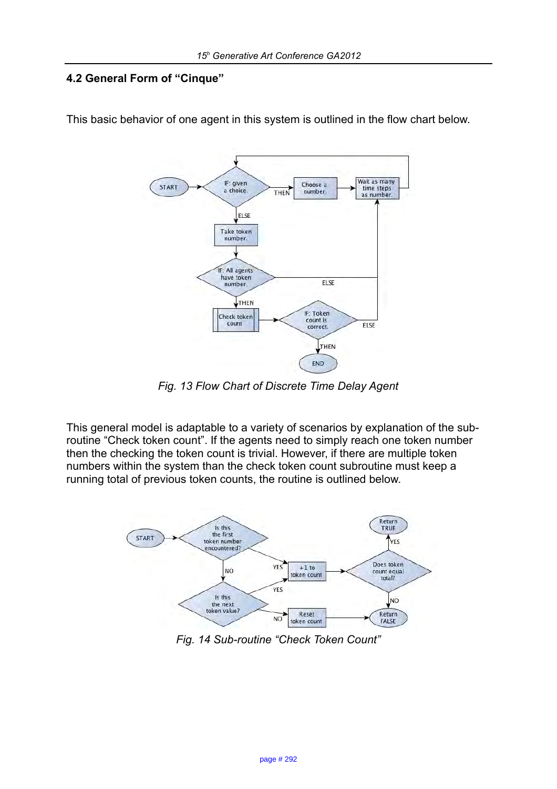## **4.2 General Form of "Cinque"**



This basic behavior of one agent in this system is outlined in the flow chart below.

*Fig. 13 Flow Chart of Discrete Time Delay Agent*

This general model is adaptable to a variety of scenarios by explanation of the subroutine "Check token count". If the agents need to simply reach one token number then the checking the token count is trivial. However, if there are multiple token numbers within the system than the check token count subroutine must keep a running total of previous token counts, the routine is outlined below.



*Fig. 14 Sub-routine "Check Token Count"*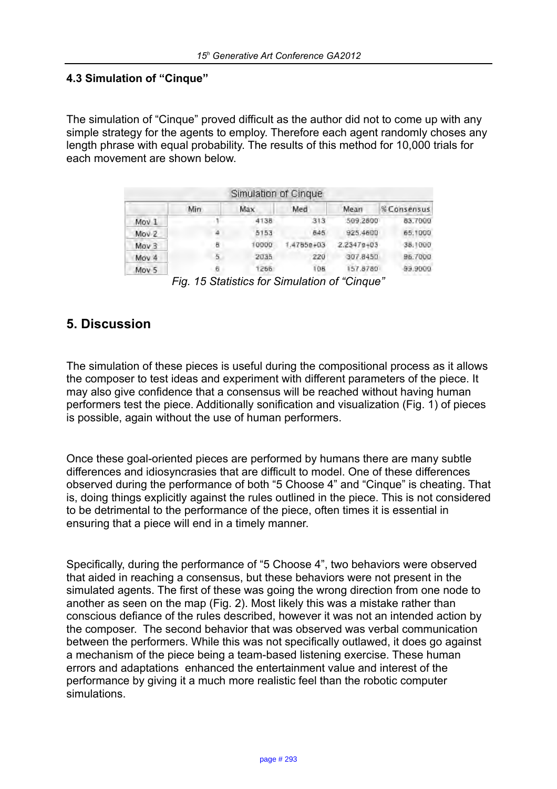#### **4.3 Simulation of "Cinque"**

The simulation of "Cinque" proved difficult as the author did not to come up with any simple strategy for the agents to employ. Therefore each agent randomly choses any length phrase with equal probability. The results of this method for 10,000 trials for each movement are shown below.

|                  |     | Simulation of Cinque |          |                |             |
|------------------|-----|----------------------|----------|----------------|-------------|
|                  | Min | Max                  | Med      | Mean           | % Consensus |
| Mov 1            |     | 4138                 | 313      | 509,2800       | 83.7000     |
| Mov <sub>2</sub> | 4   | 5153                 | 645      | 925,4600       | 65,1000     |
| Mov <sub>3</sub> | 8   | 10000                | 47858+03 | $2.23478 + 03$ | 38.1000     |
| Moy 4            | 5   | 2035                 | 220      | 307.8450       | 96.7000     |
| Mov 5            | 6   | 1266                 | 108      | 157,8780       | 99.9000     |

*Fig. 15 Statistics for Simulation of "Cinque"*

## **5. Discussion**

The simulation of these pieces is useful during the compositional process as it allows the composer to test ideas and experiment with different parameters of the piece. It may also give confidence that a consensus will be reached without having human performers test the piece. Additionally sonification and visualization (Fig. 1) of pieces is possible, again without the use of human performers.

Once these goal-oriented pieces are performed by humans there are many subtle differences and idiosyncrasies that are difficult to model. One of these differences observed during the performance of both "5 Choose 4" and "Cinque" is cheating. That is, doing things explicitly against the rules outlined in the piece. This is not considered to be detrimental to the performance of the piece, often times it is essential in ensuring that a piece will end in a timely manner.

Specifically, during the performance of "5 Choose 4", two behaviors were observed that aided in reaching a consensus, but these behaviors were not present in the simulated agents. The first of these was going the wrong direction from one node to another as seen on the map (Fig. 2). Most likely this was a mistake rather than conscious defiance of the rules described, however it was not an intended action by the composer. The second behavior that was observed was verbal communication between the performers. While this was not specifically outlawed, it does go against a mechanism of the piece being a team-based listening exercise. These human errors and adaptations enhanced the entertainment value and interest of the performance by giving it a much more realistic feel than the robotic computer simulations.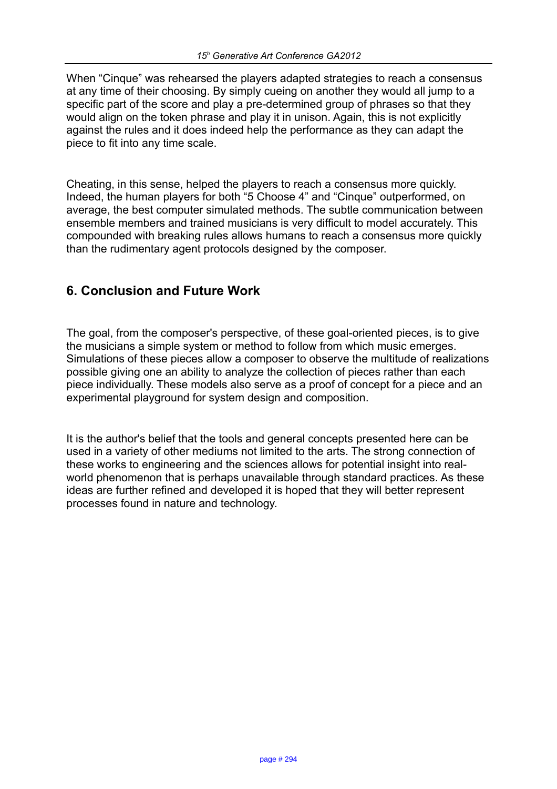When "Cinque" was rehearsed the players adapted strategies to reach a consensus at any time of their choosing. By simply cueing on another they would all jump to a specific part of the score and play a pre-determined group of phrases so that they would align on the token phrase and play it in unison. Again, this is not explicitly against the rules and it does indeed help the performance as they can adapt the piece to fit into any time scale.

Cheating, in this sense, helped the players to reach a consensus more quickly. Indeed, the human players for both "5 Choose 4" and "Cinque" outperformed, on average, the best computer simulated methods. The subtle communication between ensemble members and trained musicians is very difficult to model accurately. This compounded with breaking rules allows humans to reach a consensus more quickly than the rudimentary agent protocols designed by the composer.

# **6. Conclusion and Future Work**

The goal, from the composer's perspective, of these goal-oriented pieces, is to give the musicians a simple system or method to follow from which music emerges. Simulations of these pieces allow a composer to observe the multitude of realizations possible giving one an ability to analyze the collection of pieces rather than each piece individually. These models also serve as a proof of concept for a piece and an experimental playground for system design and composition.

It is the author's belief that the tools and general concepts presented here can be used in a variety of other mediums not limited to the arts. The strong connection of these works to engineering and the sciences allows for potential insight into realworld phenomenon that is perhaps unavailable through standard practices. As these ideas are further refined and developed it is hoped that they will better represent processes found in nature and technology.